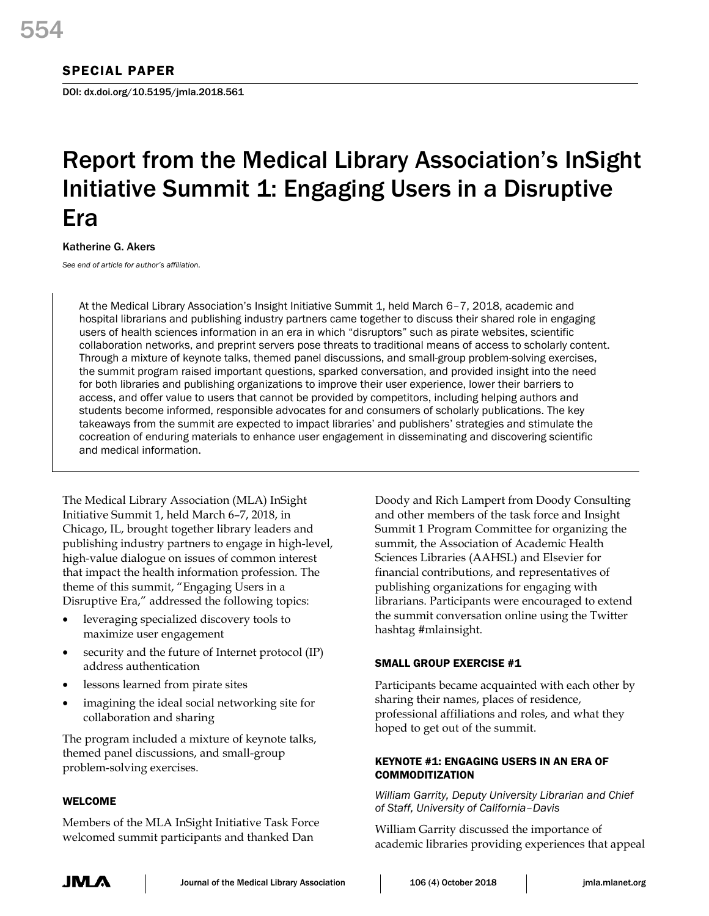## SPECIAL PAPER

DOI: dx.doi.org/10.5195/jmla.2018.561

# Report from the Medical Library Association's InSight Initiative Summit 1: Engaging Users in a Disruptive Era

Katherine G. Akers

*See end of article for author's affiliation.*

At the Medical Library Association's Insight Initiative Summit 1, held March 6–7, 2018, academic and hospital librarians and publishing industry partners came together to discuss their shared role in engaging users of health sciences information in an era in which "disruptors" such as pirate websites, scientific collaboration networks, and preprint servers pose threats to traditional means of access to scholarly content. Through a mixture of keynote talks, themed panel discussions, and small-group problem-solving exercises, the summit program raised important questions, sparked conversation, and provided insight into the need for both libraries and publishing organizations to improve their user experience, lower their barriers to access, and offer value to users that cannot be provided by competitors, including helping authors and students become informed, responsible advocates for and consumers of scholarly publications. The key takeaways from the summit are expected to impact libraries' and publishers' strategies and stimulate the cocreation of enduring materials to enhance user engagement in disseminating and discovering scientific and medical information.

The Medical Library Association (MLA) InSight Initiative Summit 1, held March 6–7, 2018, in Chicago, IL, brought together library leaders and publishing industry partners to engage in high-level, high-value dialogue on issues of common interest that impact the health information profession. The theme of this summit, "Engaging Users in a Disruptive Era," addressed the following topics:

- leveraging specialized discovery tools to maximize user engagement
- security and the future of Internet protocol (IP) address authentication
- lessons learned from pirate sites
- imagining the ideal social networking site for collaboration and sharing

The program included a mixture of keynote talks, themed panel discussions, and small-group problem-solving exercises.

## WELCOME

Members of the MLA InSight Initiative Task Force welcomed summit participants and thanked Dan

Doody and Rich Lampert from Doody Consulting and other members of the task force and Insight Summit 1 Program Committee for organizing the summit, the Association of Academic Health Sciences Libraries (AAHSL) and Elsevier for financial contributions, and representatives of publishing organizations for engaging with librarians. Participants were encouraged to extend the summit conversation online using the Twitter hashtag #mlainsight.

## SMALL GROUP EXERCISE #1

Participants became acquainted with each other by sharing their names, places of residence, professional affiliations and roles, and what they hoped to get out of the summit.

## KEYNOTE #1: ENGAGING USERS IN AN ERA OF COMMODITIZATION

*William Garrity, Deputy University Librarian and Chief of Staff, University of California–Davis*

William Garrity discussed the importance of academic libraries providing experiences that appeal

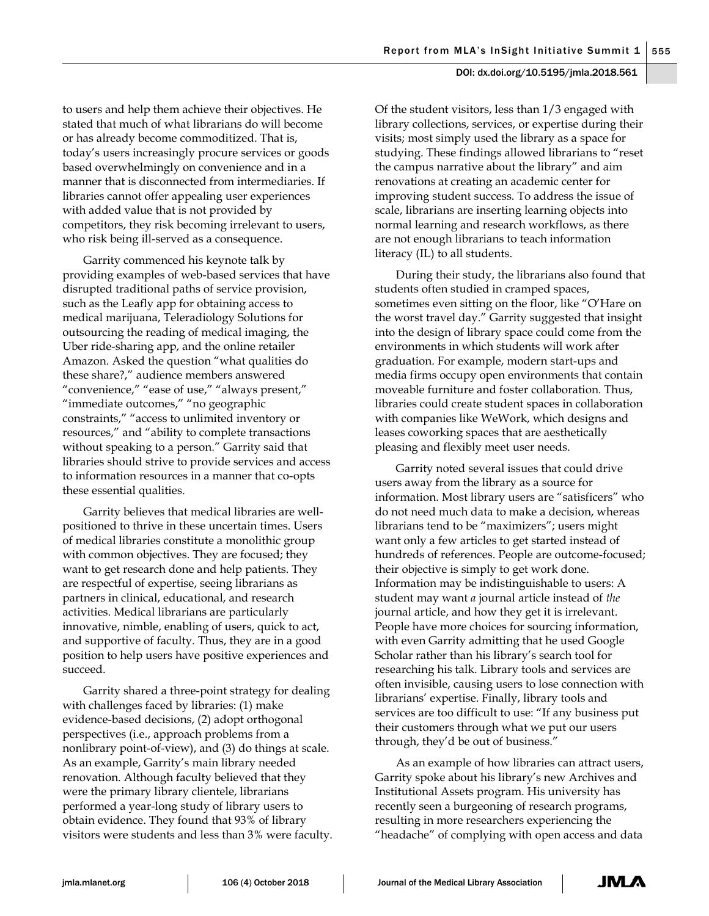to users and help them achieve their objectives. He stated that much of what librarians do will become or has already become commoditized. That is, today's users increasingly procure services or goods based overwhelmingly on convenience and in a manner that is disconnected from intermediaries. If libraries cannot offer appealing user experiences with added value that is not provided by competitors, they risk becoming irrelevant to users, who risk being ill-served as a consequence.

Garrity commenced his keynote talk by providing examples of web-based services that have disrupted traditional paths of service provision, such as the Leafly app for obtaining access to medical marijuana, Teleradiology Solutions for outsourcing the reading of medical imaging, the Uber ride-sharing app, and the online retailer Amazon. Asked the question "what qualities do these share?," audience members answered "convenience," "ease of use," "always present," "immediate outcomes," "no geographic constraints," "access to unlimited inventory or resources," and "ability to complete transactions without speaking to a person." Garrity said that libraries should strive to provide services and access to information resources in a manner that co-opts these essential qualities.

Garrity believes that medical libraries are wellpositioned to thrive in these uncertain times. Users of medical libraries constitute a monolithic group with common objectives. They are focused; they want to get research done and help patients. They are respectful of expertise, seeing librarians as partners in clinical, educational, and research activities. Medical librarians are particularly innovative, nimble, enabling of users, quick to act, and supportive of faculty. Thus, they are in a good position to help users have positive experiences and succeed.

Garrity shared a three-point strategy for dealing with challenges faced by libraries: (1) make evidence-based decisions, (2) adopt orthogonal perspectives (i.e., approach problems from a nonlibrary point-of-view), and (3) do things at scale. As an example, Garrity's main library needed renovation. Although faculty believed that they were the primary library clientele, librarians performed a year-long study of library users to obtain evidence. They found that 93% of library visitors were students and less than 3% were faculty.

Of the student visitors, less than 1/3 engaged with library collections, services, or expertise during their visits; most simply used the library as a space for studying. These findings allowed librarians to "reset the campus narrative about the library" and aim renovations at creating an academic center for improving student success. To address the issue of scale, librarians are inserting learning objects into normal learning and research workflows, as there are not enough librarians to teach information literacy (IL) to all students.

During their study, the librarians also found that students often studied in cramped spaces, sometimes even sitting on the floor, like "O'Hare on the worst travel day." Garrity suggested that insight into the design of library space could come from the environments in which students will work after graduation. For example, modern start-ups and media firms occupy open environments that contain moveable furniture and foster collaboration. Thus, libraries could create student spaces in collaboration with companies like WeWork, which designs and leases coworking spaces that are aesthetically pleasing and flexibly meet user needs.

Garrity noted several issues that could drive users away from the library as a source for information. Most library users are "satisficers" who do not need much data to make a decision, whereas librarians tend to be "maximizers"; users might want only a few articles to get started instead of hundreds of references. People are outcome-focused; their objective is simply to get work done. Information may be indistinguishable to users: A student may want *a* journal article instead of *the* journal article, and how they get it is irrelevant. People have more choices for sourcing information, with even Garrity admitting that he used Google Scholar rather than his library's search tool for researching his talk. Library tools and services are often invisible, causing users to lose connection with librarians' expertise. Finally, library tools and services are too difficult to use: "If any business put their customers through what we put our users through, they'd be out of business."

As an example of how libraries can attract users, Garrity spoke about his library's new Archives and Institutional Assets program. His university has recently seen a burgeoning of research programs, resulting in more researchers experiencing the "headache" of complying with open access and data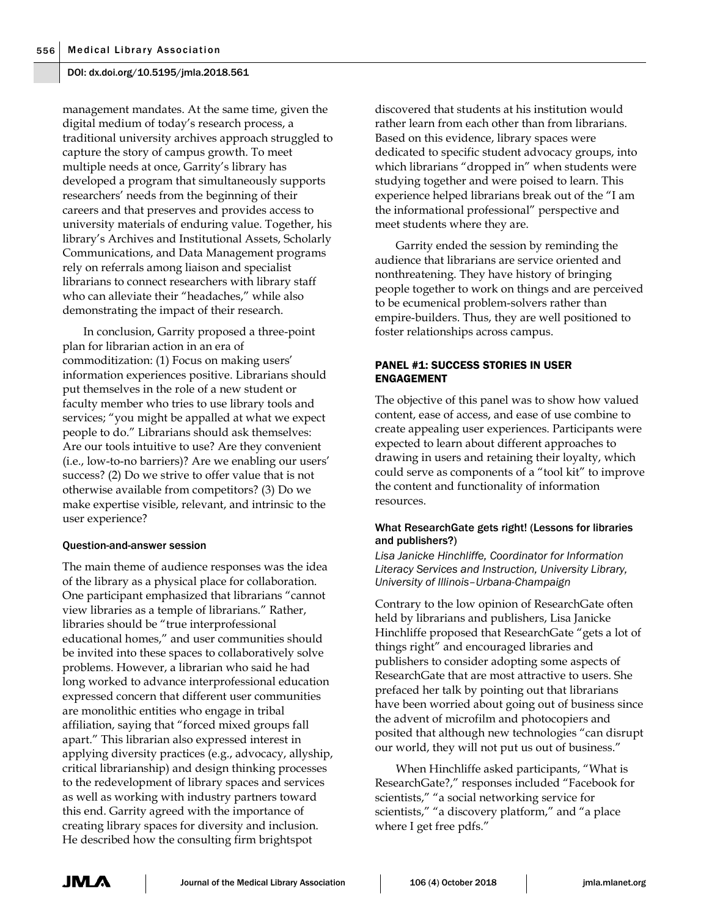management mandates. At the same time, given the digital medium of today's research process, a traditional university archives approach struggled to capture the story of campus growth. To meet multiple needs at once, Garrity's library has developed a program that simultaneously supports researchers' needs from the beginning of their careers and that preserves and provides access to university materials of enduring value. Together, his library's Archives and Institutional Assets, Scholarly Communications, and Data Management programs rely on referrals among liaison and specialist librarians to connect researchers with library staff who can alleviate their "headaches," while also demonstrating the impact of their research.

In conclusion, Garrity proposed a three-point plan for librarian action in an era of commoditization: (1) Focus on making users' information experiences positive. Librarians should put themselves in the role of a new student or faculty member who tries to use library tools and services; "you might be appalled at what we expect people to do." Librarians should ask themselves: Are our tools intuitive to use? Are they convenient (i.e., low-to-no barriers)? Are we enabling our users' success? (2) Do we strive to offer value that is not otherwise available from competitors? (3) Do we make expertise visible, relevant, and intrinsic to the user experience?

#### Question-and-answer session

The main theme of audience responses was the idea of the library as a physical place for collaboration. One participant emphasized that librarians "cannot view libraries as a temple of librarians." Rather, libraries should be "true interprofessional educational homes," and user communities should be invited into these spaces to collaboratively solve problems. However, a librarian who said he had long worked to advance interprofessional education expressed concern that different user communities are monolithic entities who engage in tribal affiliation, saying that "forced mixed groups fall apart." This librarian also expressed interest in applying diversity practices (e.g., advocacy, allyship, critical librarianship) and design thinking processes to the redevelopment of library spaces and services as well as working with industry partners toward this end. Garrity agreed with the importance of creating library spaces for diversity and inclusion. He described how the consulting firm brightspot

discovered that students at his institution would rather learn from each other than from librarians. Based on this evidence, library spaces were dedicated to specific student advocacy groups, into which librarians "dropped in" when students were studying together and were poised to learn. This experience helped librarians break out of the "I am the informational professional" perspective and meet students where they are.

Garrity ended the session by reminding the audience that librarians are service oriented and nonthreatening. They have history of bringing people together to work on things and are perceived to be ecumenical problem-solvers rather than empire-builders. Thus, they are well positioned to foster relationships across campus.

## PANEL #1: SUCCESS STORIES IN USER ENGAGEMENT

The objective of this panel was to show how valued content, ease of access, and ease of use combine to create appealing user experiences. Participants were expected to learn about different approaches to drawing in users and retaining their loyalty, which could serve as components of a "tool kit" to improve the content and functionality of information resources.

## What ResearchGate gets right! (Lessons for libraries and publishers?)

*Lisa Janicke Hinchliffe, Coordinator for Information Literacy Services and Instruction, University Library, University of Illinois–Urbana-Champaign*

Contrary to the low opinion of ResearchGate often held by librarians and publishers, Lisa Janicke Hinchliffe proposed that ResearchGate "gets a lot of things right" and encouraged libraries and publishers to consider adopting some aspects of ResearchGate that are most attractive to users. She prefaced her talk by pointing out that librarians have been worried about going out of business since the advent of microfilm and photocopiers and posited that although new technologies "can disrupt our world, they will not put us out of business."

When Hinchliffe asked participants, "What is ResearchGate?," responses included "Facebook for scientists," "a social networking service for scientists," "a discovery platform," and "a place where I get free pdfs."

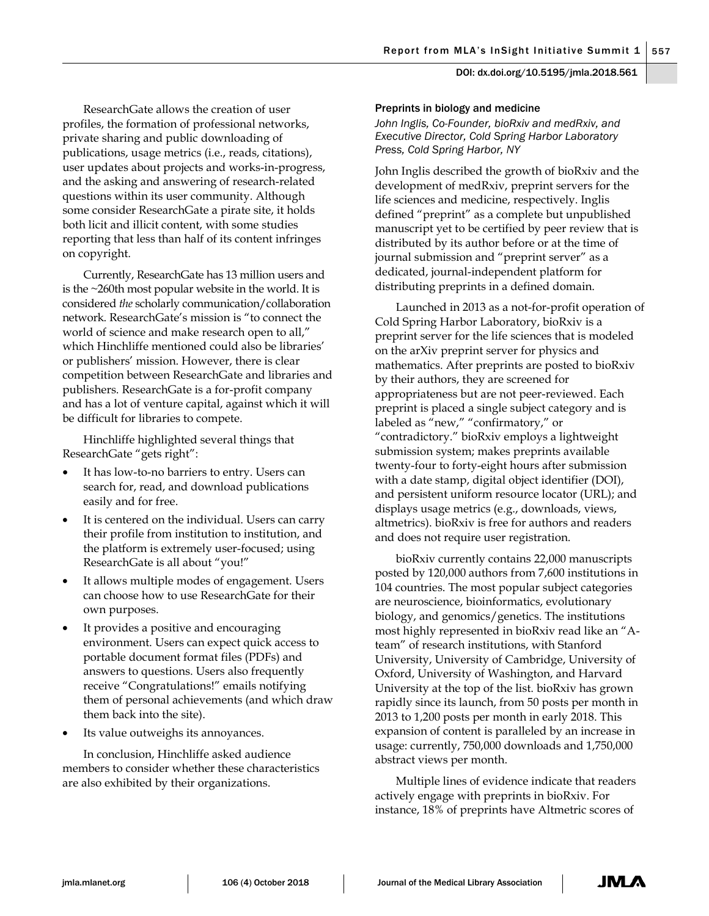ResearchGate allows the creation of user profiles, the formation of professional networks, private sharing and public downloading of publications, usage metrics (i.e., reads, citations), user updates about projects and works-in-progress, and the asking and answering of research-related questions within its user community. Although some consider ResearchGate a pirate site, it holds both licit and illicit content, with some studies reporting that less than half of its content infringes on copyright.

Currently, ResearchGate has 13 million users and is the ~260th most popular website in the world. It is considered *the* scholarly communication/collaboration network. ResearchGate's mission is "to connect the world of science and make research open to all," which Hinchliffe mentioned could also be libraries' or publishers' mission. However, there is clear competition between ResearchGate and libraries and publishers. ResearchGate is a for-profit company and has a lot of venture capital, against which it will be difficult for libraries to compete.

Hinchliffe highlighted several things that ResearchGate "gets right":

- It has low-to-no barriers to entry. Users can search for, read, and download publications easily and for free.
- It is centered on the individual. Users can carry their profile from institution to institution, and the platform is extremely user-focused; using ResearchGate is all about "you!"
- It allows multiple modes of engagement. Users can choose how to use ResearchGate for their own purposes.
- It provides a positive and encouraging environment. Users can expect quick access to portable document format files (PDFs) and answers to questions. Users also frequently receive "Congratulations!" emails notifying them of personal achievements (and which draw them back into the site).
- Its value outweighs its annoyances.

In conclusion, Hinchliffe asked audience members to consider whether these characteristics are also exhibited by their organizations.

#### Preprints in biology and medicine

*John Inglis, Co-Founder, bioRxiv and medRxiv, and Executive Director, Cold Spring Harbor Laboratory Press, Cold Spring Harbor, NY*

John Inglis described the growth of bioRxiv and the development of medRxiv, preprint servers for the life sciences and medicine, respectively. Inglis defined "preprint" as a complete but unpublished manuscript yet to be certified by peer review that is distributed by its author before or at the time of journal submission and "preprint server" as a dedicated, journal-independent platform for distributing preprints in a defined domain.

Launched in 2013 as a not-for-profit operation of Cold Spring Harbor Laboratory, bioRxiv is a preprint server for the life sciences that is modeled on the arXiv preprint server for physics and mathematics. After preprints are posted to bioRxiv by their authors, they are screened for appropriateness but are not peer-reviewed. Each preprint is placed a single subject category and is labeled as "new," "confirmatory," or "contradictory." bioRxiv employs a lightweight submission system; makes preprints available twenty-four to forty-eight hours after submission with a date stamp, digital object identifier (DOI), and persistent uniform resource locator (URL); and displays usage metrics (e.g., downloads, views, altmetrics). bioRxiv is free for authors and readers and does not require user registration.

bioRxiv currently contains 22,000 manuscripts posted by 120,000 authors from 7,600 institutions in 104 countries. The most popular subject categories are neuroscience, bioinformatics, evolutionary biology, and genomics/genetics. The institutions most highly represented in bioRxiv read like an "Ateam" of research institutions, with Stanford University, University of Cambridge, University of Oxford, University of Washington, and Harvard University at the top of the list. bioRxiv has grown rapidly since its launch, from 50 posts per month in 2013 to 1,200 posts per month in early 2018. This expansion of content is paralleled by an increase in usage: currently, 750,000 downloads and 1,750,000 abstract views per month.

Multiple lines of evidence indicate that readers actively engage with preprints in bioRxiv. For instance, 18% of preprints have Altmetric scores of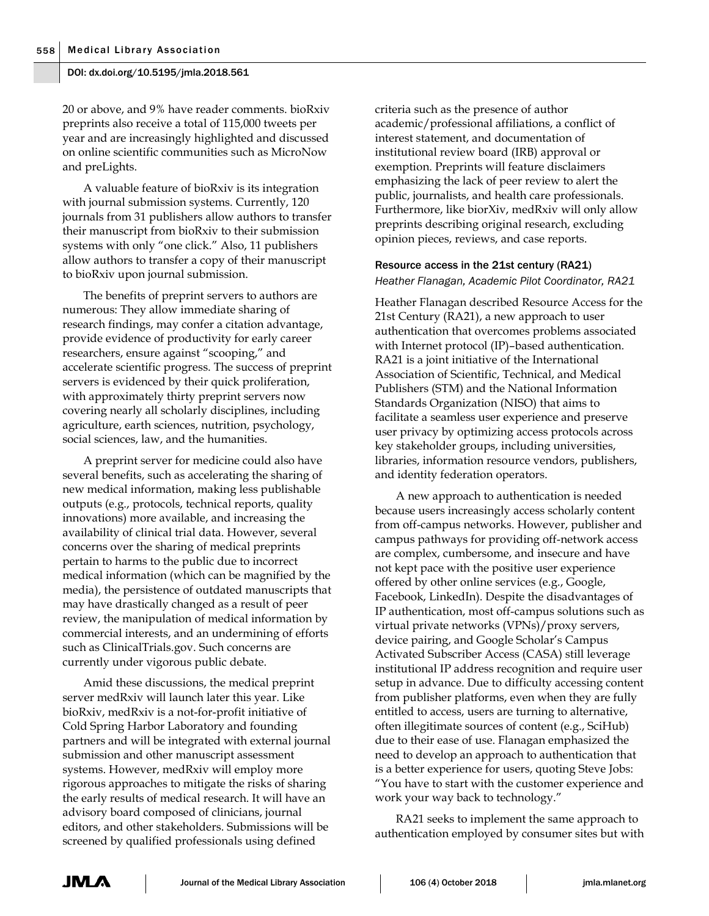20 or above, and 9% have reader comments. bioRxiv preprints also receive a total of 115,000 tweets per year and are increasingly highlighted and discussed on online scientific communities such as MicroNow and preLights.

A valuable feature of bioRxiv is its integration with journal submission systems. Currently, 120 journals from 31 publishers allow authors to transfer their manuscript from bioRxiv to their submission systems with only "one click." Also, 11 publishers allow authors to transfer a copy of their manuscript to bioRxiv upon journal submission.

The benefits of preprint servers to authors are numerous: They allow immediate sharing of research findings, may confer a citation advantage, provide evidence of productivity for early career researchers, ensure against "scooping," and accelerate scientific progress. The success of preprint servers is evidenced by their quick proliferation, with approximately thirty preprint servers now covering nearly all scholarly disciplines, including agriculture, earth sciences, nutrition, psychology, social sciences, law, and the humanities.

A preprint server for medicine could also have several benefits, such as accelerating the sharing of new medical information, making less publishable outputs (e.g., protocols, technical reports, quality innovations) more available, and increasing the availability of clinical trial data. However, several concerns over the sharing of medical preprints pertain to harms to the public due to incorrect medical information (which can be magnified by the media), the persistence of outdated manuscripts that may have drastically changed as a result of peer review, the manipulation of medical information by commercial interests, and an undermining of efforts such as ClinicalTrials.gov. Such concerns are currently under vigorous public debate.

Amid these discussions, the medical preprint server medRxiv will launch later this year. Like bioRxiv, medRxiv is a not-for-profit initiative of Cold Spring Harbor Laboratory and founding partners and will be integrated with external journal submission and other manuscript assessment systems. However, medRxiv will employ more rigorous approaches to mitigate the risks of sharing the early results of medical research. It will have an advisory board composed of clinicians, journal editors, and other stakeholders. Submissions will be screened by qualified professionals using defined

criteria such as the presence of author academic/professional affiliations, a conflict of interest statement, and documentation of institutional review board (IRB) approval or exemption. Preprints will feature disclaimers emphasizing the lack of peer review to alert the public, journalists, and health care professionals. Furthermore, like biorXiv, medRxiv will only allow preprints describing original research, excluding opinion pieces, reviews, and case reports.

## Resource access in the 21st century (RA21) *Heather Flanagan, Academic Pilot Coordinator, RA21*

Heather Flanagan described Resource Access for the 21st Century (RA21), a new approach to user authentication that overcomes problems associated with Internet protocol (IP)–based authentication. RA21 is a joint initiative of the International Association of Scientific, Technical, and Medical Publishers (STM) and the National Information Standards Organization (NISO) that aims to facilitate a seamless user experience and preserve user privacy by optimizing access protocols across key stakeholder groups, including universities, libraries, information resource vendors, publishers, and identity federation operators.

A new approach to authentication is needed because users increasingly access scholarly content from off-campus networks. However, publisher and campus pathways for providing off-network access are complex, cumbersome, and insecure and have not kept pace with the positive user experience offered by other online services (e.g., Google, Facebook, LinkedIn). Despite the disadvantages of IP authentication, most off-campus solutions such as virtual private networks (VPNs)/proxy servers, device pairing, and Google Scholar's Campus Activated Subscriber Access (CASA) still leverage institutional IP address recognition and require user setup in advance. Due to difficulty accessing content from publisher platforms, even when they are fully entitled to access, users are turning to alternative, often illegitimate sources of content (e.g., SciHub) due to their ease of use. Flanagan emphasized the need to develop an approach to authentication that is a better experience for users, quoting Steve Jobs: "You have to start with the customer experience and work your way back to technology."

RA21 seeks to implement the same approach to authentication employed by consumer sites but with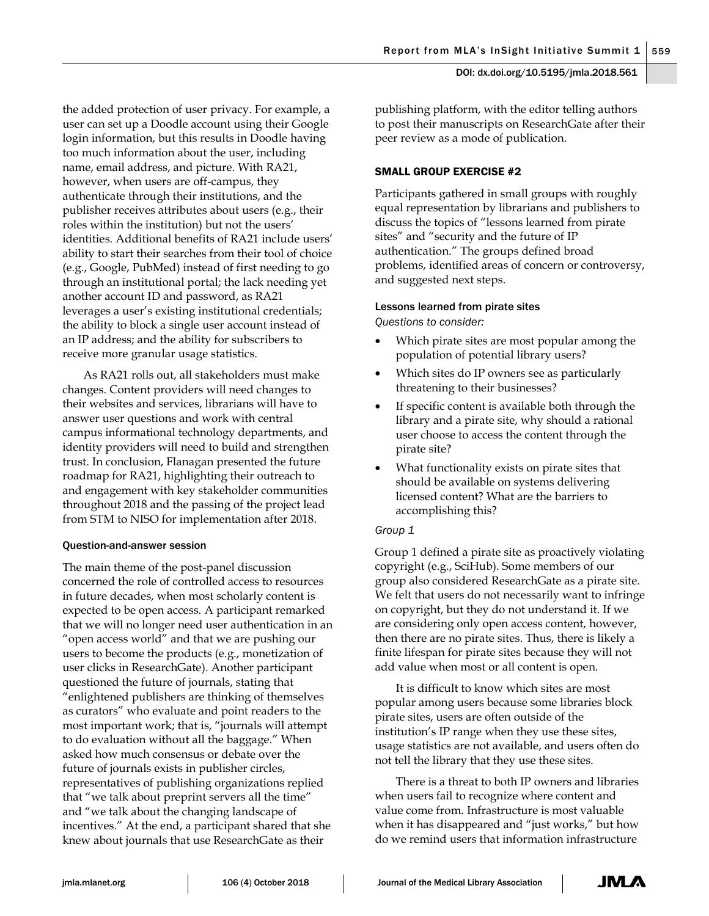the added protection of user privacy. For example, a user can set up a Doodle account using their Google login information, but this results in Doodle having too much information about the user, including name, email address, and picture. With RA21, however, when users are off-campus, they authenticate through their institutions, and the publisher receives attributes about users (e.g., their roles within the institution) but not the users' identities. Additional benefits of RA21 include users' ability to start their searches from their tool of choice (e.g., Google, PubMed) instead of first needing to go through an institutional portal; the lack needing yet another account ID and password, as RA21 leverages a user's existing institutional credentials; the ability to block a single user account instead of an IP address; and the ability for subscribers to receive more granular usage statistics.

As RA21 rolls out, all stakeholders must make changes. Content providers will need changes to their websites and services, librarians will have to answer user questions and work with central campus informational technology departments, and identity providers will need to build and strengthen trust. In conclusion, Flanagan presented the future roadmap for RA21, highlighting their outreach to and engagement with key stakeholder communities throughout 2018 and the passing of the project lead from STM to NISO for implementation after 2018.

## Question-and-answer session

The main theme of the post-panel discussion concerned the role of controlled access to resources in future decades, when most scholarly content is expected to be open access. A participant remarked that we will no longer need user authentication in an "open access world" and that we are pushing our users to become the products (e.g., monetization of user clicks in ResearchGate). Another participant questioned the future of journals, stating that "enlightened publishers are thinking of themselves as curators" who evaluate and point readers to the most important work; that is, "journals will attempt to do evaluation without all the baggage." When asked how much consensus or debate over the future of journals exists in publisher circles, representatives of publishing organizations replied that "we talk about preprint servers all the time" and "we talk about the changing landscape of incentives." At the end, a participant shared that she knew about journals that use ResearchGate as their



publishing platform, with the editor telling authors to post their manuscripts on ResearchGate after their peer review as a mode of publication.

## SMALL GROUP EXERCISE #2

Participants gathered in small groups with roughly equal representation by librarians and publishers to discuss the topics of "lessons learned from pirate sites" and "security and the future of IP authentication." The groups defined broad problems, identified areas of concern or controversy, and suggested next steps.

## Lessons learned from pirate sites

*Questions to consider:*

- Which pirate sites are most popular among the population of potential library users?
- Which sites do IP owners see as particularly threatening to their businesses?
- If specific content is available both through the library and a pirate site, why should a rational user choose to access the content through the pirate site?
- What functionality exists on pirate sites that should be available on systems delivering licensed content? What are the barriers to accomplishing this?

## *Group 1*

Group 1 defined a pirate site as proactively violating copyright (e.g., SciHub). Some members of our group also considered ResearchGate as a pirate site. We felt that users do not necessarily want to infringe on copyright, but they do not understand it. If we are considering only open access content, however, then there are no pirate sites. Thus, there is likely a finite lifespan for pirate sites because they will not add value when most or all content is open.

It is difficult to know which sites are most popular among users because some libraries block pirate sites, users are often outside of the institution's IP range when they use these sites, usage statistics are not available, and users often do not tell the library that they use these sites.

There is a threat to both IP owners and libraries when users fail to recognize where content and value come from. Infrastructure is most valuable when it has disappeared and "just works," but how do we remind users that information infrastructure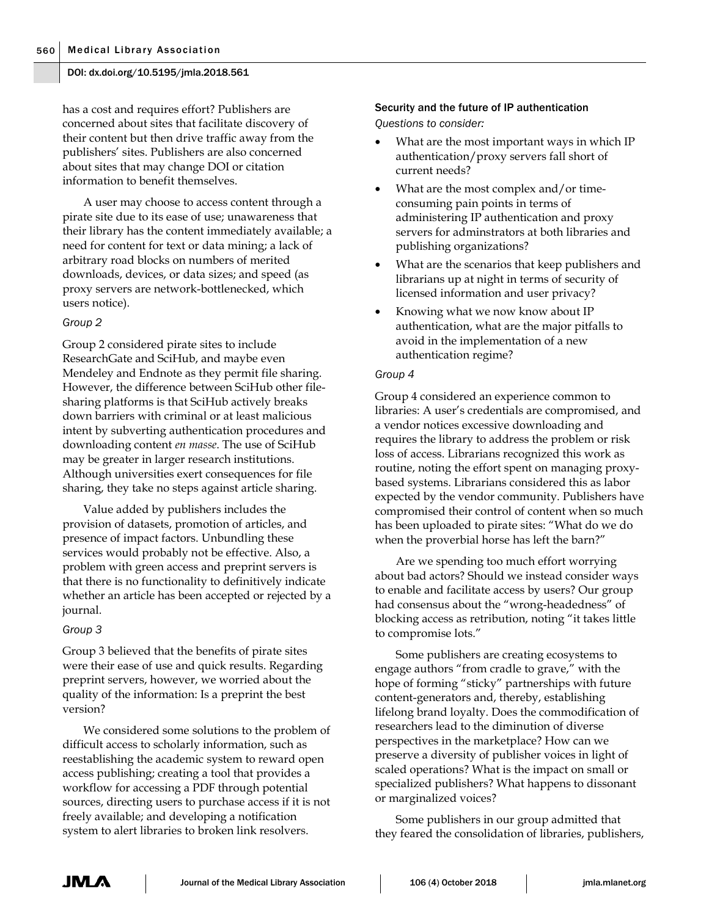has a cost and requires effort? Publishers are concerned about sites that facilitate discovery of their content but then drive traffic away from the publishers' sites. Publishers are also concerned about sites that may change DOI or citation information to benefit themselves.

A user may choose to access content through a pirate site due to its ease of use; unawareness that their library has the content immediately available; a need for content for text or data mining; a lack of arbitrary road blocks on numbers of merited downloads, devices, or data sizes; and speed (as proxy servers are network-bottlenecked, which users notice).

## *Group 2*

Group 2 considered pirate sites to include ResearchGate and SciHub, and maybe even Mendeley and Endnote as they permit file sharing. However, the difference between SciHub other filesharing platforms is that SciHub actively breaks down barriers with criminal or at least malicious intent by subverting authentication procedures and downloading content *en masse*. The use of SciHub may be greater in larger research institutions. Although universities exert consequences for file sharing, they take no steps against article sharing.

Value added by publishers includes the provision of datasets, promotion of articles, and presence of impact factors. Unbundling these services would probably not be effective. Also, a problem with green access and preprint servers is that there is no functionality to definitively indicate whether an article has been accepted or rejected by a journal.

#### *Group 3*

Group 3 believed that the benefits of pirate sites were their ease of use and quick results. Regarding preprint servers, however, we worried about the quality of the information: Is a preprint the best version?

We considered some solutions to the problem of difficult access to scholarly information, such as reestablishing the academic system to reward open access publishing; creating a tool that provides a workflow for accessing a PDF through potential sources, directing users to purchase access if it is not freely available; and developing a notification system to alert libraries to broken link resolvers.

## Security and the future of IP authentication *Questions to consider:*

- What are the most important ways in which IP authentication/proxy servers fall short of current needs?
- What are the most complex and/or timeconsuming pain points in terms of administering IP authentication and proxy servers for adminstrators at both libraries and publishing organizations?
- What are the scenarios that keep publishers and librarians up at night in terms of security of licensed information and user privacy?
- Knowing what we now know about IP authentication, what are the major pitfalls to avoid in the implementation of a new authentication regime?

#### *Group 4*

Group 4 considered an experience common to libraries: A user's credentials are compromised, and a vendor notices excessive downloading and requires the library to address the problem or risk loss of access. Librarians recognized this work as routine, noting the effort spent on managing proxybased systems. Librarians considered this as labor expected by the vendor community. Publishers have compromised their control of content when so much has been uploaded to pirate sites: "What do we do when the proverbial horse has left the barn?"

Are we spending too much effort worrying about bad actors? Should we instead consider ways to enable and facilitate access by users? Our group had consensus about the "wrong-headedness" of blocking access as retribution, noting "it takes little to compromise lots."

Some publishers are creating ecosystems to engage authors "from cradle to grave," with the hope of forming "sticky" partnerships with future content-generators and, thereby, establishing lifelong brand loyalty. Does the commodification of researchers lead to the diminution of diverse perspectives in the marketplace? How can we preserve a diversity of publisher voices in light of scaled operations? What is the impact on small or specialized publishers? What happens to dissonant or marginalized voices?

Some publishers in our group admitted that they feared the consolidation of libraries, publishers,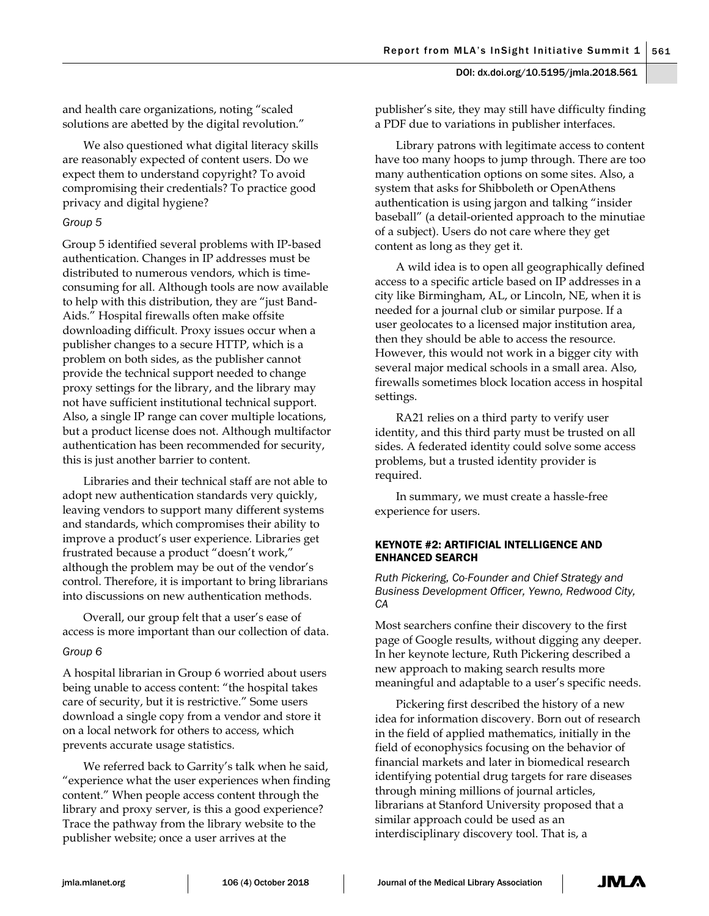and health care organizations, noting "scaled solutions are abetted by the digital revolution."

We also questioned what digital literacy skills are reasonably expected of content users. Do we expect them to understand copyright? To avoid compromising their credentials? To practice good privacy and digital hygiene?

## *Group 5*

Group 5 identified several problems with IP-based authentication. Changes in IP addresses must be distributed to numerous vendors, which is timeconsuming for all. Although tools are now available to help with this distribution, they are "just Band-Aids." Hospital firewalls often make offsite downloading difficult. Proxy issues occur when a publisher changes to a secure HTTP, which is a problem on both sides, as the publisher cannot provide the technical support needed to change proxy settings for the library, and the library may not have sufficient institutional technical support. Also, a single IP range can cover multiple locations, but a product license does not. Although multifactor authentication has been recommended for security, this is just another barrier to content.

Libraries and their technical staff are not able to adopt new authentication standards very quickly, leaving vendors to support many different systems and standards, which compromises their ability to improve a product's user experience. Libraries get frustrated because a product "doesn't work," although the problem may be out of the vendor's control. Therefore, it is important to bring librarians into discussions on new authentication methods.

Overall, our group felt that a user's ease of access is more important than our collection of data.

## *Group 6*

A hospital librarian in Group 6 worried about users being unable to access content: "the hospital takes care of security, but it is restrictive." Some users download a single copy from a vendor and store it on a local network for others to access, which prevents accurate usage statistics.

We referred back to Garrity's talk when he said, "experience what the user experiences when finding content." When people access content through the library and proxy server, is this a good experience? Trace the pathway from the library website to the publisher website; once a user arrives at the

publisher's site, they may still have difficulty finding a PDF due to variations in publisher interfaces.

Library patrons with legitimate access to content have too many hoops to jump through. There are too many authentication options on some sites. Also, a system that asks for Shibboleth or OpenAthens authentication is using jargon and talking "insider baseball" (a detail-oriented approach to the minutiae of a subject). Users do not care where they get content as long as they get it.

A wild idea is to open all geographically defined access to a specific article based on IP addresses in a city like Birmingham, AL, or Lincoln, NE, when it is needed for a journal club or similar purpose. If a user geolocates to a licensed major institution area, then they should be able to access the resource. However, this would not work in a bigger city with several major medical schools in a small area. Also, firewalls sometimes block location access in hospital settings.

RA21 relies on a third party to verify user identity, and this third party must be trusted on all sides. A federated identity could solve some access problems, but a trusted identity provider is required.

In summary, we must create a hassle-free experience for users.

## KEYNOTE #2: ARTIFICIAL INTELLIGENCE AND ENHANCED SEARCH

*Ruth Pickering, Co-Founder and Chief Strategy and Business Development Officer, Yewno, Redwood City, CA*

Most searchers confine their discovery to the first page of Google results, without digging any deeper. In her keynote lecture, Ruth Pickering described a new approach to making search results more meaningful and adaptable to a user's specific needs.

Pickering first described the history of a new idea for information discovery. Born out of research in the field of applied mathematics, initially in the field of econophysics focusing on the behavior of financial markets and later in biomedical research identifying potential drug targets for rare diseases through mining millions of journal articles, librarians at Stanford University proposed that a similar approach could be used as an interdisciplinary discovery tool. That is, a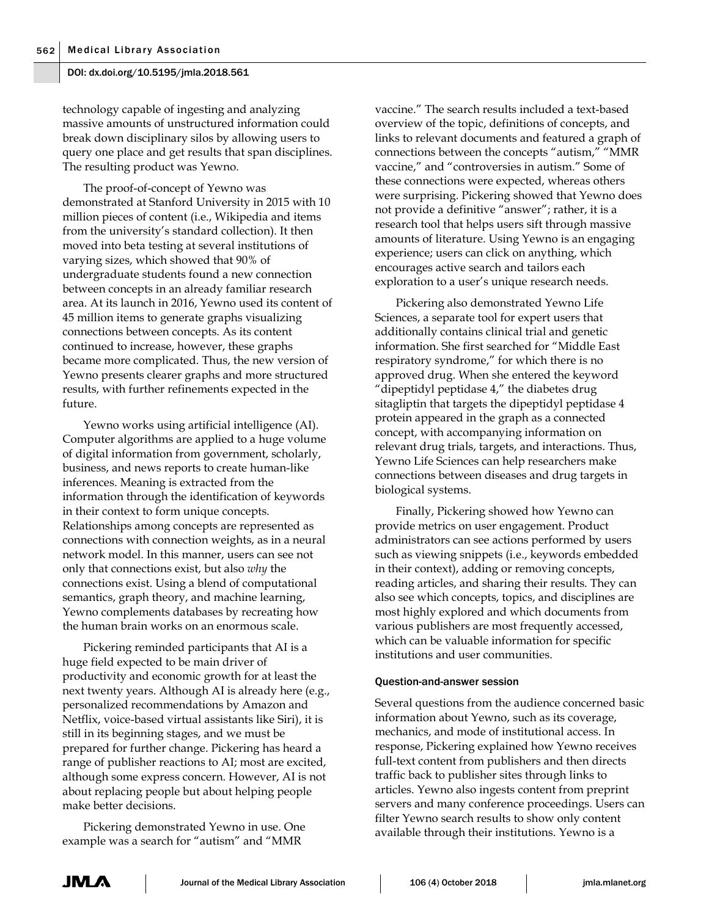technology capable of ingesting and analyzing massive amounts of unstructured information could break down disciplinary silos by allowing users to query one place and get results that span disciplines. The resulting product was Yewno.

The proof-of-concept of Yewno was demonstrated at Stanford University in 2015 with 10 million pieces of content (i.e., Wikipedia and items from the university's standard collection). It then moved into beta testing at several institutions of varying sizes, which showed that 90% of undergraduate students found a new connection between concepts in an already familiar research area. At its launch in 2016, Yewno used its content of 45 million items to generate graphs visualizing connections between concepts. As its content continued to increase, however, these graphs became more complicated. Thus, the new version of Yewno presents clearer graphs and more structured results, with further refinements expected in the future.

Yewno works using artificial intelligence (AI). Computer algorithms are applied to a huge volume of digital information from government, scholarly, business, and news reports to create human-like inferences. Meaning is extracted from the information through the identification of keywords in their context to form unique concepts. Relationships among concepts are represented as connections with connection weights, as in a neural network model. In this manner, users can see not only that connections exist, but also *why* the connections exist. Using a blend of computational semantics, graph theory, and machine learning, Yewno complements databases by recreating how the human brain works on an enormous scale.

Pickering reminded participants that AI is a huge field expected to be main driver of productivity and economic growth for at least the next twenty years. Although AI is already here (e.g., personalized recommendations by Amazon and Netflix, voice-based virtual assistants like Siri), it is still in its beginning stages, and we must be prepared for further change. Pickering has heard a range of publisher reactions to AI; most are excited, although some express concern. However, AI is not about replacing people but about helping people make better decisions.

Pickering demonstrated Yewno in use. One example was a search for "autism" and "MMR

vaccine." The search results included a text-based overview of the topic, definitions of concepts, and links to relevant documents and featured a graph of connections between the concepts "autism," "MMR vaccine," and "controversies in autism." Some of these connections were expected, whereas others were surprising. Pickering showed that Yewno does not provide a definitive "answer"; rather, it is a research tool that helps users sift through massive amounts of literature. Using Yewno is an engaging experience; users can click on anything, which encourages active search and tailors each exploration to a user's unique research needs.

Pickering also demonstrated Yewno Life Sciences, a separate tool for expert users that additionally contains clinical trial and genetic information. She first searched for "Middle East respiratory syndrome," for which there is no approved drug. When she entered the keyword "dipeptidyl peptidase 4," the diabetes drug sitagliptin that targets the dipeptidyl peptidase 4 protein appeared in the graph as a connected concept, with accompanying information on relevant drug trials, targets, and interactions. Thus, Yewno Life Sciences can help researchers make connections between diseases and drug targets in biological systems.

Finally, Pickering showed how Yewno can provide metrics on user engagement. Product administrators can see actions performed by users such as viewing snippets (i.e., keywords embedded in their context), adding or removing concepts, reading articles, and sharing their results. They can also see which concepts, topics, and disciplines are most highly explored and which documents from various publishers are most frequently accessed, which can be valuable information for specific institutions and user communities.

#### Question-and-answer session

Several questions from the audience concerned basic information about Yewno, such as its coverage, mechanics, and mode of institutional access. In response, Pickering explained how Yewno receives full-text content from publishers and then directs traffic back to publisher sites through links to articles. Yewno also ingests content from preprint servers and many conference proceedings. Users can filter Yewno search results to show only content available through their institutions. Yewno is a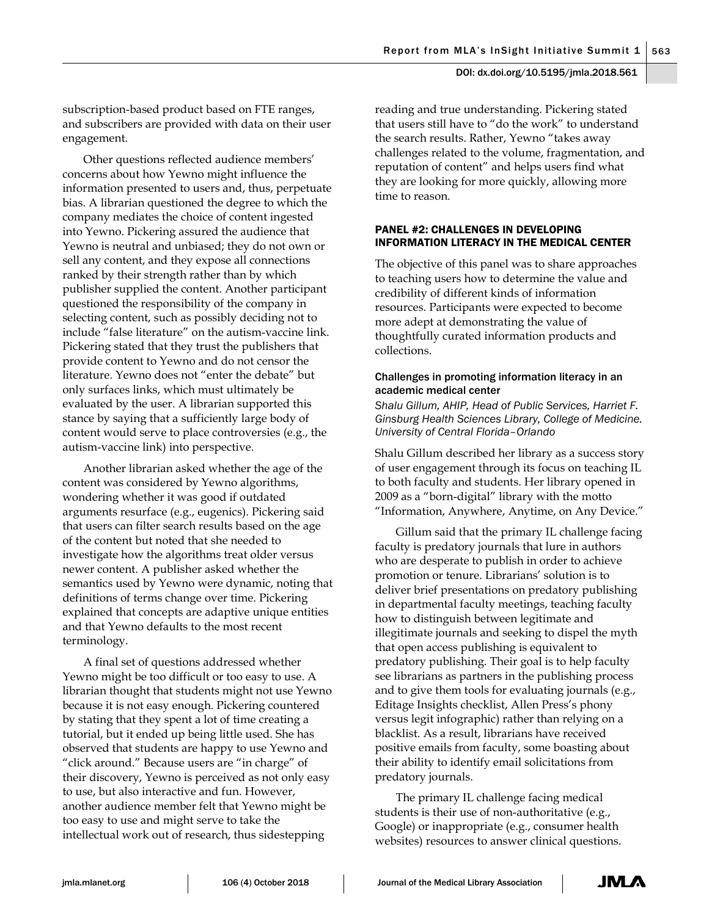subscription-based product based on FTE ranges, and subscribers are provided with data on their user engagement.

Other questions reflected audience members' concerns about how Yewno might influence the information presented to users and, thus, perpetuate bias. A librarian questioned the degree to which the company mediates the choice of content ingested into Yewno. Pickering assured the audience that Yewno is neutral and unbiased; they do not own or sell any content, and they expose all connections ranked by their strength rather than by which publisher supplied the content. Another participant questioned the responsibility of the company in selecting content, such as possibly deciding not to include "false literature" on the autism-vaccine link. Pickering stated that they trust the publishers that provide content to Yewno and do not censor the literature. Yewno does not "enter the debate" but only surfaces links, which must ultimately be evaluated by the user. A librarian supported this stance by saying that a sufficiently large body of content would serve to place controversies (e.g., the autism-vaccine link) into perspective.

Another librarian asked whether the age of the content was considered by Yewno algorithms, wondering whether it was good if outdated arguments resurface (e.g., eugenics). Pickering said that users can filter search results based on the age of the content but noted that she needed to investigate how the algorithms treat older versus newer content. A publisher asked whether the semantics used by Yewno were dynamic, noting that definitions of terms change over time. Pickering explained that concepts are adaptive unique entities and that Yewno defaults to the most recent terminology.

A final set of questions addressed whether Yewno might be too difficult or too easy to use. A librarian thought that students might not use Yewno because it is not easy enough. Pickering countered by stating that they spent a lot of time creating a tutorial, but it ended up being little used. She has observed that students are happy to use Yewno and "click around." Because users are "in charge" of their discovery, Yewno is perceived as not only easy to use, but also interactive and fun. However, another audience member felt that Yewno might be too easy to use and might serve to take the intellectual work out of research, thus sidestepping

reading and true understanding. Pickering stated that users still have to "do the work" to understand the search results. Rather, Yewno "takes away challenges related to the volume, fragmentation, and reputation of content" and helps users find what they are looking for more quickly, allowing more time to reason.

## PANEL #2: CHALLENGES IN DEVELOPING INFORMATION LITERACY IN THE MEDICAL CENTER

The objective of this panel was to share approaches to teaching users how to determine the value and credibility of different kinds of information resources. Participants were expected to become more adept at demonstrating the value of thoughtfully curated information products and collections.

## Challenges in promoting information literacy in an academic medical center

*Shalu Gillum, AHIP, Head of Public Services, Harriet F. Ginsburg Health Sciences Library, College of Medicine. University of Central Florida–Orlando*

Shalu Gillum described her library as a success story of user engagement through its focus on teaching IL to both faculty and students. Her library opened in 2009 as a "born-digital" library with the motto "Information, Anywhere, Anytime, on Any Device."

Gillum said that the primary IL challenge facing faculty is predatory journals that lure in authors who are desperate to publish in order to achieve promotion or tenure. Librarians' solution is to deliver brief presentations on predatory publishing in departmental faculty meetings, teaching faculty how to distinguish between legitimate and illegitimate journals and seeking to dispel the myth that open access publishing is equivalent to predatory publishing. Their goal is to help faculty see librarians as partners in the publishing process and to give them tools for evaluating journals (e.g., Editage Insights checklist, Allen Press's phony versus legit infographic) rather than relying on a blacklist. As a result, librarians have received positive emails from faculty, some boasting about their ability to identify email solicitations from predatory journals.

The primary IL challenge facing medical students is their use of non-authoritative (e.g., Google) or inappropriate (e.g., consumer health websites) resources to answer clinical questions.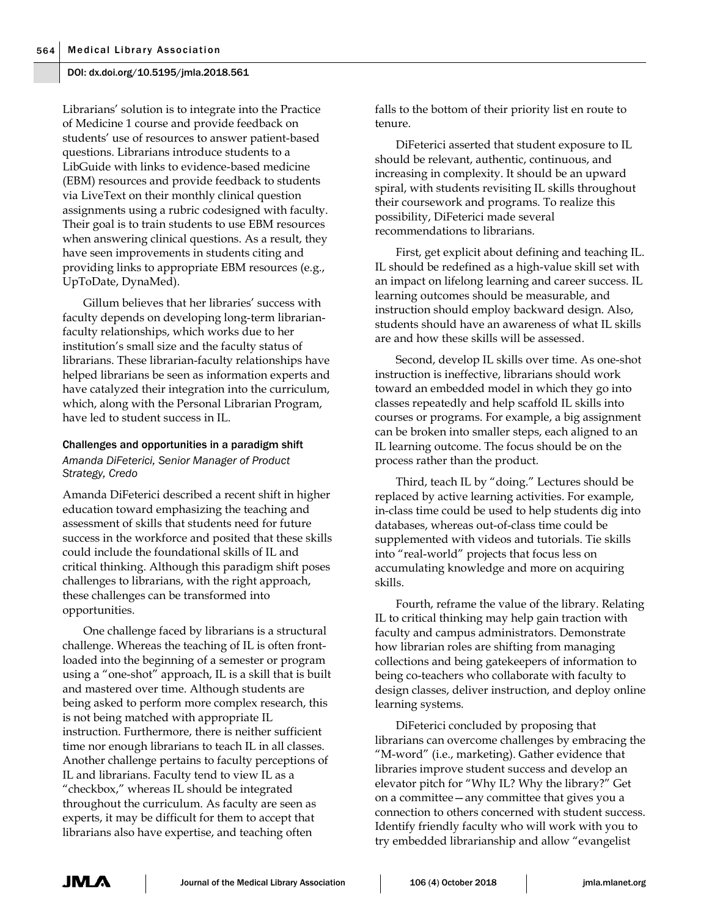Librarians' solution is to integrate into the Practice of Medicine 1 course and provide feedback on students' use of resources to answer patient-based questions. Librarians introduce students to a LibGuide with links to evidence-based medicine (EBM) resources and provide feedback to students via LiveText on their monthly clinical question assignments using a rubric codesigned with faculty. Their goal is to train students to use EBM resources when answering clinical questions. As a result, they have seen improvements in students citing and providing links to appropriate EBM resources (e.g., UpToDate, DynaMed).

Gillum believes that her libraries' success with faculty depends on developing long-term librarianfaculty relationships, which works due to her institution's small size and the faculty status of librarians. These librarian-faculty relationships have helped librarians be seen as information experts and have catalyzed their integration into the curriculum, which, along with the Personal Librarian Program, have led to student success in IL.

## Challenges and opportunities in a paradigm shift *Amanda DiFeterici, Senior Manager of Product Strategy, Credo*

Amanda DiFeterici described a recent shift in higher education toward emphasizing the teaching and assessment of skills that students need for future success in the workforce and posited that these skills could include the foundational skills of IL and critical thinking. Although this paradigm shift poses challenges to librarians, with the right approach, these challenges can be transformed into opportunities.

One challenge faced by librarians is a structural challenge. Whereas the teaching of IL is often frontloaded into the beginning of a semester or program using a "one-shot" approach, IL is a skill that is built and mastered over time. Although students are being asked to perform more complex research, this is not being matched with appropriate IL instruction. Furthermore, there is neither sufficient time nor enough librarians to teach IL in all classes. Another challenge pertains to faculty perceptions of IL and librarians. Faculty tend to view IL as a "checkbox," whereas IL should be integrated throughout the curriculum. As faculty are seen as experts, it may be difficult for them to accept that librarians also have expertise, and teaching often

falls to the bottom of their priority list en route to tenure.

DiFeterici asserted that student exposure to IL should be relevant, authentic, continuous, and increasing in complexity. It should be an upward spiral, with students revisiting IL skills throughout their coursework and programs. To realize this possibility, DiFeterici made several recommendations to librarians.

First, get explicit about defining and teaching IL. IL should be redefined as a high-value skill set with an impact on lifelong learning and career success. IL learning outcomes should be measurable, and instruction should employ backward design. Also, students should have an awareness of what IL skills are and how these skills will be assessed.

Second, develop IL skills over time. As one-shot instruction is ineffective, librarians should work toward an embedded model in which they go into classes repeatedly and help scaffold IL skills into courses or programs. For example, a big assignment can be broken into smaller steps, each aligned to an IL learning outcome. The focus should be on the process rather than the product.

Third, teach IL by "doing." Lectures should be replaced by active learning activities. For example, in-class time could be used to help students dig into databases, whereas out-of-class time could be supplemented with videos and tutorials. Tie skills into "real-world" projects that focus less on accumulating knowledge and more on acquiring skills.

Fourth, reframe the value of the library. Relating IL to critical thinking may help gain traction with faculty and campus administrators. Demonstrate how librarian roles are shifting from managing collections and being gatekeepers of information to being co-teachers who collaborate with faculty to design classes, deliver instruction, and deploy online learning systems.

DiFeterici concluded by proposing that librarians can overcome challenges by embracing the "M-word" (i.e., marketing). Gather evidence that libraries improve student success and develop an elevator pitch for "Why IL? Why the library?" Get on a committee—any committee that gives you a connection to others concerned with student success. Identify friendly faculty who will work with you to try embedded librarianship and allow "evangelist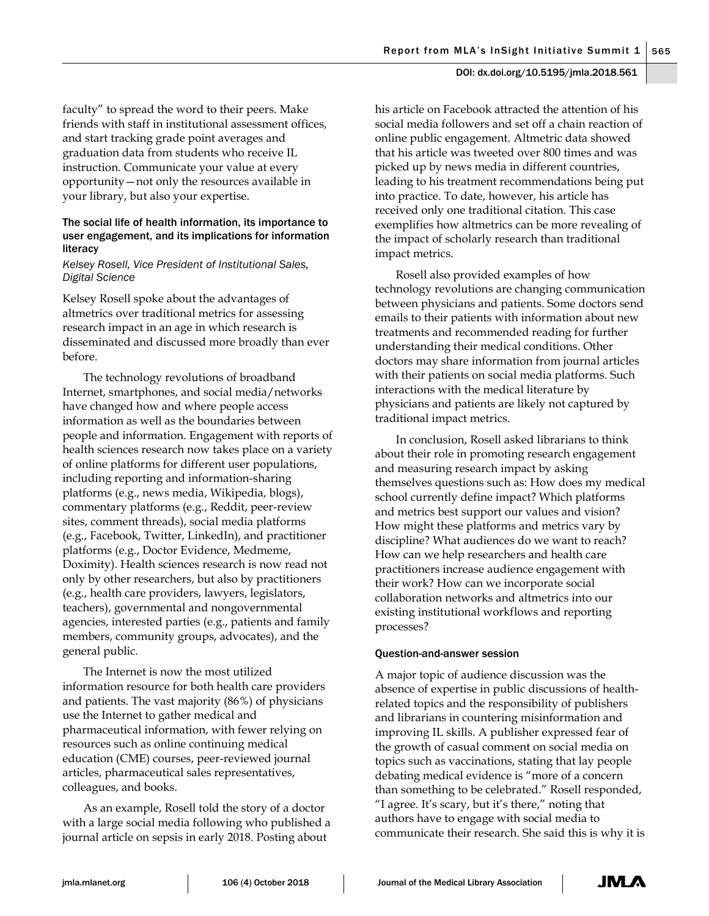faculty" to spread the word to their peers. Make friends with staff in institutional assessment offices, and start tracking grade point averages and graduation data from students who receive IL instruction. Communicate your value at every opportunity—not only the resources available in your library, but also your expertise.

## The social life of health information, its importance to user engagement, and its implications for information literacy

## *Kelsey Rosell, Vice President of Institutional Sales, Digital Science*

Kelsey Rosell spoke about the advantages of altmetrics over traditional metrics for assessing research impact in an age in which research is disseminated and discussed more broadly than ever before.

The technology revolutions of broadband Internet, smartphones, and social media/networks have changed how and where people access information as well as the boundaries between people and information. Engagement with reports of health sciences research now takes place on a variety of online platforms for different user populations, including reporting and information-sharing platforms (e.g., news media, Wikipedia, blogs), commentary platforms (e.g., Reddit, peer-review sites, comment threads), social media platforms (e.g., Facebook, Twitter, LinkedIn), and practitioner platforms (e.g., Doctor Evidence, Medmeme, Doximity). Health sciences research is now read not only by other researchers, but also by practitioners (e.g., health care providers, lawyers, legislators, teachers), governmental and nongovernmental agencies, interested parties (e.g., patients and family members, community groups, advocates), and the general public.

The Internet is now the most utilized information resource for both health care providers and patients. The vast majority (86%) of physicians use the Internet to gather medical and pharmaceutical information, with fewer relying on resources such as online continuing medical education (CME) courses, peer-reviewed journal articles, pharmaceutical sales representatives, colleagues, and books.

As an example, Rosell told the story of a doctor with a large social media following who published a journal article on sepsis in early 2018. Posting about

his article on Facebook attracted the attention of his social media followers and set off a chain reaction of online public engagement. Altmetric data showed that his article was tweeted over 800 times and was picked up by news media in different countries, leading to his treatment recommendations being put into practice. To date, however, his article has received only one traditional citation. This case exemplifies how altmetrics can be more revealing of the impact of scholarly research than traditional impact metrics.

Rosell also provided examples of how technology revolutions are changing communication between physicians and patients. Some doctors send emails to their patients with information about new treatments and recommended reading for further understanding their medical conditions. Other doctors may share information from journal articles with their patients on social media platforms. Such interactions with the medical literature by physicians and patients are likely not captured by traditional impact metrics.

In conclusion, Rosell asked librarians to think about their role in promoting research engagement and measuring research impact by asking themselves questions such as: How does my medical school currently define impact? Which platforms and metrics best support our values and vision? How might these platforms and metrics vary by discipline? What audiences do we want to reach? How can we help researchers and health care practitioners increase audience engagement with their work? How can we incorporate social collaboration networks and altmetrics into our existing institutional workflows and reporting processes?

## Question-and-answer session

A major topic of audience discussion was the absence of expertise in public discussions of healthrelated topics and the responsibility of publishers and librarians in countering misinformation and improving IL skills. A publisher expressed fear of the growth of casual comment on social media on topics such as vaccinations, stating that lay people debating medical evidence is "more of a concern than something to be celebrated." Rosell responded, "I agree. It's scary, but it's there," noting that authors have to engage with social media to communicate their research. She said this is why it is

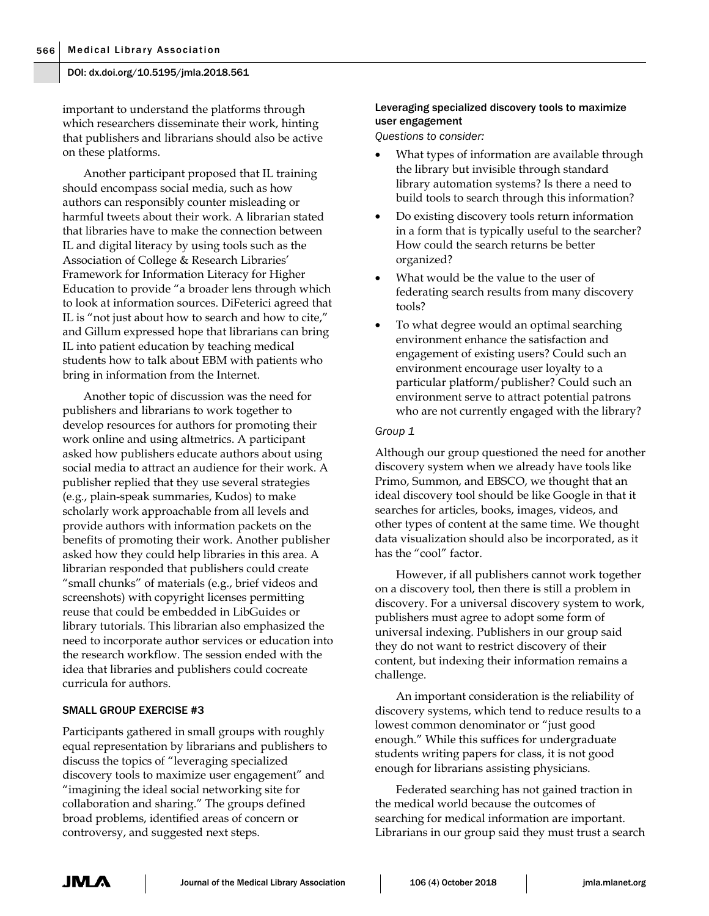important to understand the platforms through which researchers disseminate their work, hinting that publishers and librarians should also be active on these platforms.

Another participant proposed that IL training should encompass social media, such as how authors can responsibly counter misleading or harmful tweets about their work. A librarian stated that libraries have to make the connection between IL and digital literacy by using tools such as the Association of College & Research Libraries' Framework for Information Literacy for Higher Education to provide "a broader lens through which to look at information sources. DiFeterici agreed that IL is "not just about how to search and how to cite," and Gillum expressed hope that librarians can bring IL into patient education by teaching medical students how to talk about EBM with patients who bring in information from the Internet.

Another topic of discussion was the need for publishers and librarians to work together to develop resources for authors for promoting their work online and using altmetrics. A participant asked how publishers educate authors about using social media to attract an audience for their work. A publisher replied that they use several strategies (e.g., plain-speak summaries, Kudos) to make scholarly work approachable from all levels and provide authors with information packets on the benefits of promoting their work. Another publisher asked how they could help libraries in this area. A librarian responded that publishers could create "small chunks" of materials (e.g., brief videos and screenshots) with copyright licenses permitting reuse that could be embedded in LibGuides or library tutorials. This librarian also emphasized the need to incorporate author services or education into the research workflow. The session ended with the idea that libraries and publishers could cocreate curricula for authors.

#### SMALL GROUP EXERCISE #3

Participants gathered in small groups with roughly equal representation by librarians and publishers to discuss the topics of "leveraging specialized discovery tools to maximize user engagement" and "imagining the ideal social networking site for collaboration and sharing." The groups defined broad problems, identified areas of concern or controversy, and suggested next steps.

## Leveraging specialized discovery tools to maximize user engagement

*Questions to consider:*

- What types of information are available through the library but invisible through standard library automation systems? Is there a need to build tools to search through this information?
- Do existing discovery tools return information in a form that is typically useful to the searcher? How could the search returns be better organized?
- What would be the value to the user of federating search results from many discovery tools?
- To what degree would an optimal searching environment enhance the satisfaction and engagement of existing users? Could such an environment encourage user loyalty to a particular platform/publisher? Could such an environment serve to attract potential patrons who are not currently engaged with the library?

#### *Group 1*

Although our group questioned the need for another discovery system when we already have tools like Primo, Summon, and EBSCO, we thought that an ideal discovery tool should be like Google in that it searches for articles, books, images, videos, and other types of content at the same time. We thought data visualization should also be incorporated, as it has the "cool" factor.

However, if all publishers cannot work together on a discovery tool, then there is still a problem in discovery. For a universal discovery system to work, publishers must agree to adopt some form of universal indexing. Publishers in our group said they do not want to restrict discovery of their content, but indexing their information remains a challenge.

An important consideration is the reliability of discovery systems, which tend to reduce results to a lowest common denominator or "just good enough." While this suffices for undergraduate students writing papers for class, it is not good enough for librarians assisting physicians.

Federated searching has not gained traction in the medical world because the outcomes of searching for medical information are important. Librarians in our group said they must trust a search

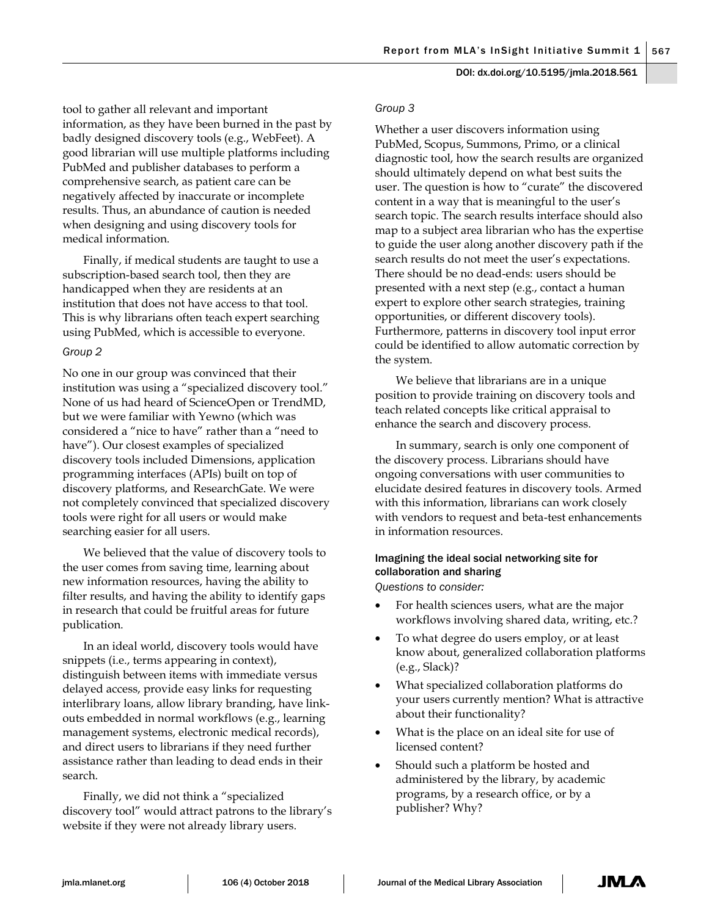tool to gather all relevant and important information, as they have been burned in the past by badly designed discovery tools (e.g., WebFeet). A good librarian will use multiple platforms including PubMed and publisher databases to perform a comprehensive search, as patient care can be negatively affected by inaccurate or incomplete results. Thus, an abundance of caution is needed when designing and using discovery tools for medical information.

Finally, if medical students are taught to use a subscription-based search tool, then they are handicapped when they are residents at an institution that does not have access to that tool. This is why librarians often teach expert searching using PubMed, which is accessible to everyone.

#### *Group 2*

No one in our group was convinced that their institution was using a "specialized discovery tool." None of us had heard of ScienceOpen or TrendMD, but we were familiar with Yewno (which was considered a "nice to have" rather than a "need to have"). Our closest examples of specialized discovery tools included Dimensions, application programming interfaces (APIs) built on top of discovery platforms, and ResearchGate. We were not completely convinced that specialized discovery tools were right for all users or would make searching easier for all users.

We believed that the value of discovery tools to the user comes from saving time, learning about new information resources, having the ability to filter results, and having the ability to identify gaps in research that could be fruitful areas for future publication.

In an ideal world, discovery tools would have snippets (i.e., terms appearing in context), distinguish between items with immediate versus delayed access, provide easy links for requesting interlibrary loans, allow library branding, have linkouts embedded in normal workflows (e.g., learning management systems, electronic medical records), and direct users to librarians if they need further assistance rather than leading to dead ends in their search.

Finally, we did not think a "specialized discovery tool" would attract patrons to the library's website if they were not already library users.

#### *Group 3*

Whether a user discovers information using PubMed, Scopus, Summons, Primo, or a clinical diagnostic tool, how the search results are organized should ultimately depend on what best suits the user. The question is how to "curate" the discovered content in a way that is meaningful to the user's search topic. The search results interface should also map to a subject area librarian who has the expertise to guide the user along another discovery path if the search results do not meet the user's expectations. There should be no dead-ends: users should be presented with a next step (e.g., contact a human expert to explore other search strategies, training opportunities, or different discovery tools). Furthermore, patterns in discovery tool input error could be identified to allow automatic correction by the system.

We believe that librarians are in a unique position to provide training on discovery tools and teach related concepts like critical appraisal to enhance the search and discovery process.

In summary, search is only one component of the discovery process. Librarians should have ongoing conversations with user communities to elucidate desired features in discovery tools. Armed with this information, librarians can work closely with vendors to request and beta-test enhancements in information resources.

## Imagining the ideal social networking site for collaboration and sharing

*Questions to consider:*

- For health sciences users, what are the major workflows involving shared data, writing, etc.?
- To what degree do users employ, or at least know about, generalized collaboration platforms (e.g., Slack)?
- What specialized collaboration platforms do your users currently mention? What is attractive about their functionality?
- What is the place on an ideal site for use of licensed content?
- Should such a platform be hosted and administered by the library, by academic programs, by a research office, or by a publisher? Why?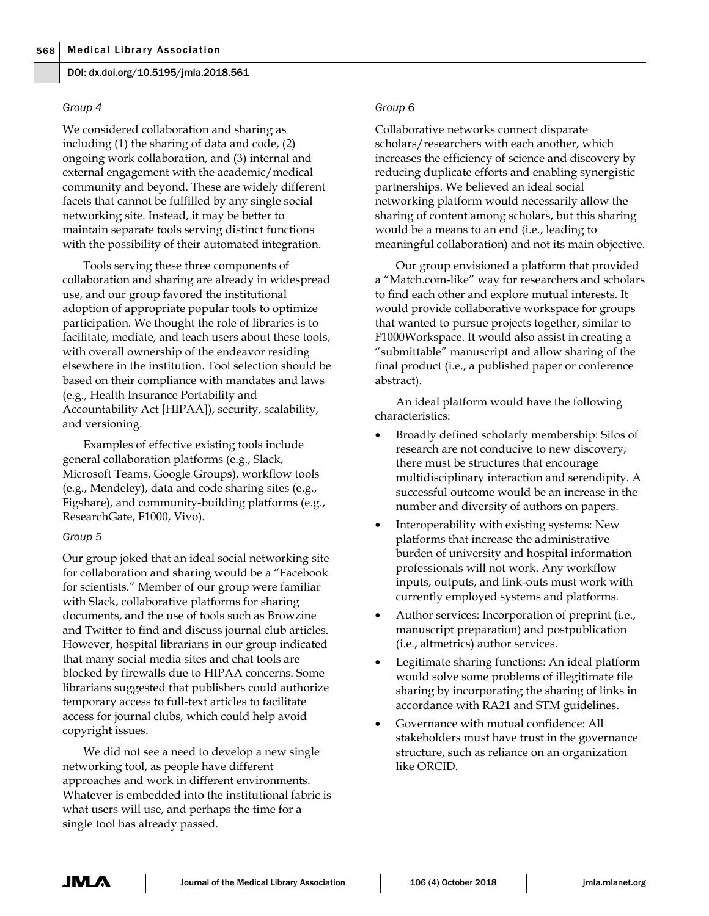#### *Group 4*

We considered collaboration and sharing as including (1) the sharing of data and code, (2) ongoing work collaboration, and (3) internal and external engagement with the academic/medical community and beyond. These are widely different facets that cannot be fulfilled by any single social networking site. Instead, it may be better to maintain separate tools serving distinct functions with the possibility of their automated integration.

Tools serving these three components of collaboration and sharing are already in widespread use, and our group favored the institutional adoption of appropriate popular tools to optimize participation. We thought the role of libraries is to facilitate, mediate, and teach users about these tools, with overall ownership of the endeavor residing elsewhere in the institution. Tool selection should be based on their compliance with mandates and laws (e.g., Health Insurance Portability and Accountability Act [HIPAA]), security, scalability, and versioning.

Examples of effective existing tools include general collaboration platforms (e.g., Slack, Microsoft Teams, Google Groups), workflow tools (e.g., Mendeley), data and code sharing sites (e.g., Figshare), and community-building platforms (e.g., ResearchGate, F1000, Vivo).

## *Group 5*

Our group joked that an ideal social networking site for collaboration and sharing would be a "Facebook for scientists." Member of our group were familiar with Slack, collaborative platforms for sharing documents, and the use of tools such as Browzine and Twitter to find and discuss journal club articles. However, hospital librarians in our group indicated that many social media sites and chat tools are blocked by firewalls due to HIPAA concerns. Some librarians suggested that publishers could authorize temporary access to full-text articles to facilitate access for journal clubs, which could help avoid copyright issues.

We did not see a need to develop a new single networking tool, as people have different approaches and work in different environments. Whatever is embedded into the institutional fabric is what users will use, and perhaps the time for a single tool has already passed.

## *Group 6*

Collaborative networks connect disparate scholars/researchers with each another, which increases the efficiency of science and discovery by reducing duplicate efforts and enabling synergistic partnerships. We believed an ideal social networking platform would necessarily allow the sharing of content among scholars, but this sharing would be a means to an end (i.e., leading to meaningful collaboration) and not its main objective.

Our group envisioned a platform that provided a "Match.com-like" way for researchers and scholars to find each other and explore mutual interests. It would provide collaborative workspace for groups that wanted to pursue projects together, similar to F1000Workspace. It would also assist in creating a "submittable" manuscript and allow sharing of the final product (i.e., a published paper or conference abstract).

An ideal platform would have the following characteristics:

- Broadly defined scholarly membership: Silos of research are not conducive to new discovery; there must be structures that encourage multidisciplinary interaction and serendipity. A successful outcome would be an increase in the number and diversity of authors on papers.
- Interoperability with existing systems: New platforms that increase the administrative burden of university and hospital information professionals will not work. Any workflow inputs, outputs, and link-outs must work with currently employed systems and platforms.
- Author services: Incorporation of preprint (i.e., manuscript preparation) and postpublication (i.e., altmetrics) author services.
- Legitimate sharing functions: An ideal platform would solve some problems of illegitimate file sharing by incorporating the sharing of links in accordance with RA21 and STM guidelines.
- Governance with mutual confidence: All stakeholders must have trust in the governance structure, such as reliance on an organization like ORCID.

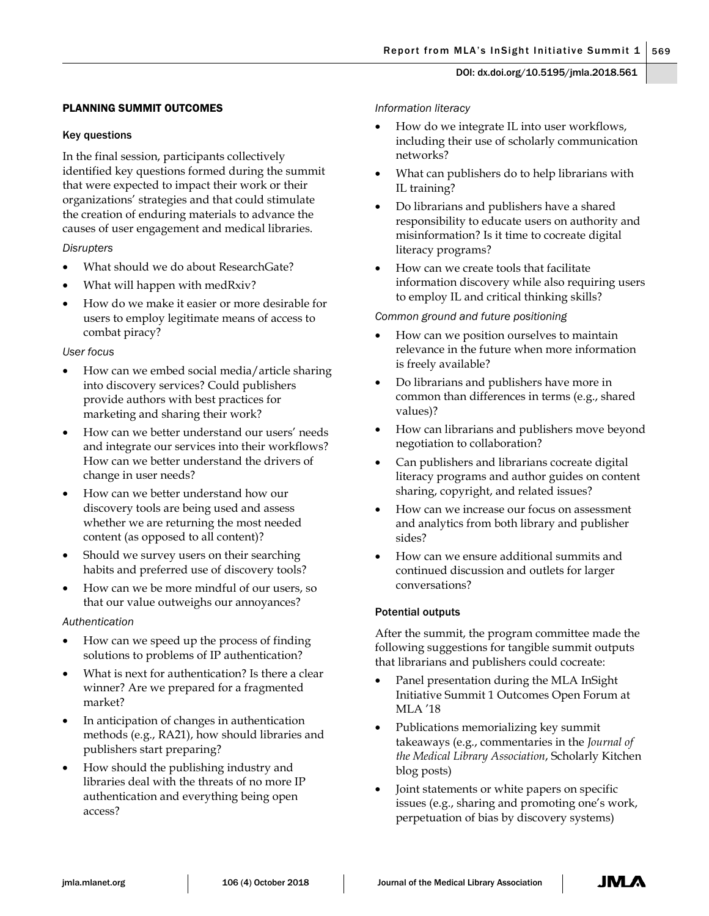## PLANNING SUMMIT OUTCOMES

## Key questions

In the final session, participants collectively identified key questions formed during the summit that were expected to impact their work or their organizations' strategies and that could stimulate the creation of enduring materials to advance the causes of user engagement and medical libraries.

## *Disrupters*

- What should we do about ResearchGate?
- What will happen with medRxiv?
- How do we make it easier or more desirable for users to employ legitimate means of access to combat piracy?

## *User focus*

- How can we embed social media/article sharing into discovery services? Could publishers provide authors with best practices for marketing and sharing their work?
- How can we better understand our users' needs and integrate our services into their workflows? How can we better understand the drivers of change in user needs?
- How can we better understand how our discovery tools are being used and assess whether we are returning the most needed content (as opposed to all content)?
- Should we survey users on their searching habits and preferred use of discovery tools?
- How can we be more mindful of our users, so that our value outweighs our annoyances?

## *Authentication*

- How can we speed up the process of finding solutions to problems of IP authentication?
- What is next for authentication? Is there a clear winner? Are we prepared for a fragmented market?
- In anticipation of changes in authentication methods (e.g., RA21), how should libraries and publishers start preparing?
- How should the publishing industry and libraries deal with the threats of no more IP authentication and everything being open access?

## *Information literacy*

- How do we integrate IL into user workflows, including their use of scholarly communication networks?
- What can publishers do to help librarians with IL training?
- Do librarians and publishers have a shared responsibility to educate users on authority and misinformation? Is it time to cocreate digital literacy programs?
- How can we create tools that facilitate information discovery while also requiring users to employ IL and critical thinking skills?

## *Common ground and future positioning*

- How can we position ourselves to maintain relevance in the future when more information is freely available?
- Do librarians and publishers have more in common than differences in terms (e.g., shared values)?
- How can librarians and publishers move beyond negotiation to collaboration?
- Can publishers and librarians cocreate digital literacy programs and author guides on content sharing, copyright, and related issues?
- How can we increase our focus on assessment and analytics from both library and publisher sides?
- How can we ensure additional summits and continued discussion and outlets for larger conversations?

## Potential outputs

After the summit, the program committee made the following suggestions for tangible summit outputs that librarians and publishers could cocreate:

- Panel presentation during the MLA InSight Initiative Summit 1 Outcomes Open Forum at MLA '18
- Publications memorializing key summit takeaways (e.g., commentaries in the *Journal of the Medical Library Association*, Scholarly Kitchen blog posts)
- Joint statements or white papers on specific issues (e.g., sharing and promoting one's work, perpetuation of bias by discovery systems)

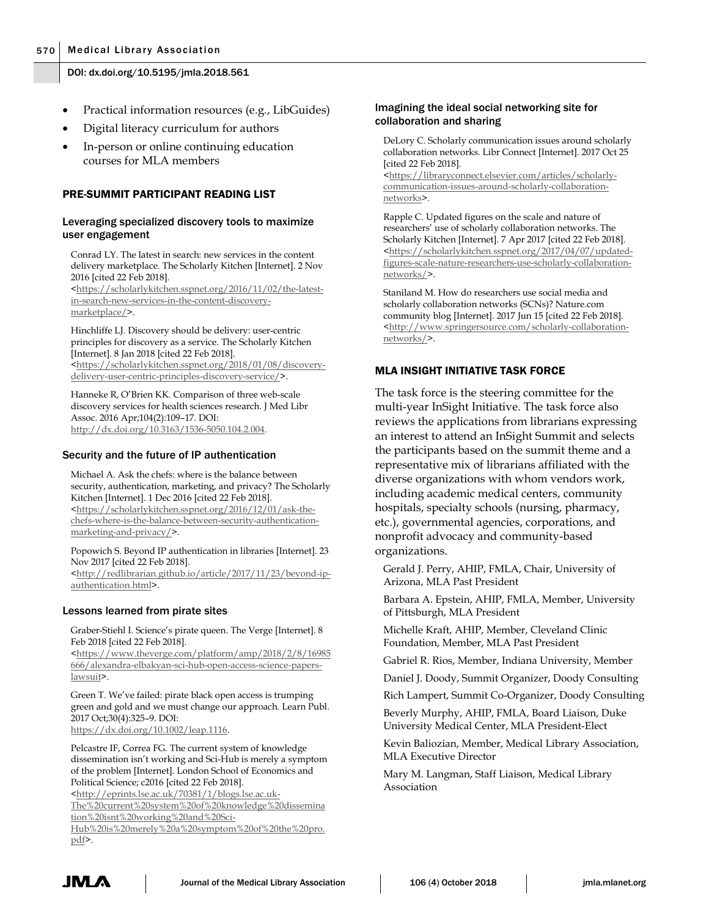- Practical information resources (e.g., LibGuides)
- Digital literacy curriculum for authors
- In-person or online continuing education courses for MLA members

#### PRE-SUMMIT PARTICIPANT READING LIST

#### Leveraging specialized discovery tools to maximize user engagement

Conrad LY. The latest in search: new services in the content delivery marketplace. The Scholarly Kitchen [Internet]. 2 Nov 2016 [cited 22 Feb 2018].

[<https://scholarlykitchen.sspnet.org/2016/11/02/the-latest](https://scholarlykitchen.sspnet.org/2016/11/02/the-latest-in-search-new-services-in-the-content-discovery-marketplace/)[in-search-new-services-in-the-content-discovery](https://scholarlykitchen.sspnet.org/2016/11/02/the-latest-in-search-new-services-in-the-content-discovery-marketplace/)[marketplace/>](https://scholarlykitchen.sspnet.org/2016/11/02/the-latest-in-search-new-services-in-the-content-discovery-marketplace/).

Hinchliffe LJ. Discovery should be delivery: user-centric principles for discovery as a service. The Scholarly Kitchen [Internet]. 8 Jan 2018 [cited 22 Feb 2018]. [<https://scholarlykitchen.sspnet.org/2018/01/08/discovery](https://scholarlykitchen.sspnet.org/2018/01/08/discovery-delivery-user-centric-principles-discovery-service/)[delivery-user-centric-principles-discovery-service/>](https://scholarlykitchen.sspnet.org/2018/01/08/discovery-delivery-user-centric-principles-discovery-service/).

Hanneke R, O'Brien KK. Comparison of three web-scale discovery services for health sciences research. J Med Libr Assoc. 2016 Apr;104(2):109–17. DOI: [http://dx.doi.org/10.3163/1536-5050.104.2.004.](http://dx.doi.org/10.3163/1536-5050.104.2.004)

#### Security and the future of IP authentication

Michael A. Ask the chefs: where is the balance between security, authentication, marketing, and privacy? The Scholarly Kitchen [Internet]. 1 Dec 2016 [cited 22 Feb 2018]. [<https://scholarlykitchen.sspnet.org/2016/12/01/ask-the](https://scholarlykitchen.sspnet.org/2016/12/01/ask-the-chefs-where-is-the-balance-between-security-authentication-marketing-and-privacy/)[chefs-where-is-the-balance-between-security-authentication](https://scholarlykitchen.sspnet.org/2016/12/01/ask-the-chefs-where-is-the-balance-between-security-authentication-marketing-and-privacy/)[marketing-and-privacy/>](https://scholarlykitchen.sspnet.org/2016/12/01/ask-the-chefs-where-is-the-balance-between-security-authentication-marketing-and-privacy/).

Popowich S. Beyond IP authentication in libraries [Internet]. 23 Nov 2017 [cited 22 Feb 2018].

[<http://redlibrarian.github.io/article/2017/11/23/beyond-ip](http://redlibrarian.github.io/article/2017/11/23/beyond-ip-authentication.html)[authentication.html>](http://redlibrarian.github.io/article/2017/11/23/beyond-ip-authentication.html).

#### Lessons learned from pirate sites

Graber-Stiehl I. Science's pirate queen. The Verge [Internet]. 8 Feb 2018 [cited 22 Feb 2018].

[<https://www.theverge.com/platform/amp/2018/2/8/16985](https://www.theverge.com/platform/amp/2018/2/8/16985666/alexandra-elbakyan-sci-hub-open-access-science-papers-lawsuit) [666/alexandra-elbakyan-sci-hub-open-access-science-papers](https://www.theverge.com/platform/amp/2018/2/8/16985666/alexandra-elbakyan-sci-hub-open-access-science-papers-lawsuit)[lawsuit>](https://www.theverge.com/platform/amp/2018/2/8/16985666/alexandra-elbakyan-sci-hub-open-access-science-papers-lawsuit).

Green T. We've failed: pirate black open access is trumping green and gold and we must change our approach. Learn Publ. 2017 Oct;30(4):325–9. DOI: [https://dx.doi.org/10.1002/leap.1116.](https://dx.doi.org/10.1002/leap.1116)

Pelcastre IF, Correa FG. The current system of knowledge dissemination isn't working and Sci-Hub is merely a symptom of the problem [Internet]. London School of Economics and Political Science; c2016 [cited 22 Feb 2018].

[<http://eprints.lse.ac.uk/70381/1/blogs.lse.ac.uk-](http://eprints.lse.ac.uk/70381/1/blogs.lse.ac.uk-The%20current%20system%20of%20knowledge%20dissemination%20isnt%20working%20and%20Sci-Hub%20is%20merely%20a%20symptom%20of%20the%20pro.pdf)[The%20current%20system%20of%20knowledge%20dissemina](http://eprints.lse.ac.uk/70381/1/blogs.lse.ac.uk-The%20current%20system%20of%20knowledge%20dissemination%20isnt%20working%20and%20Sci-Hub%20is%20merely%20a%20symptom%20of%20the%20pro.pdf) [tion%20isnt%20working%20and%20Sci-](http://eprints.lse.ac.uk/70381/1/blogs.lse.ac.uk-The%20current%20system%20of%20knowledge%20dissemination%20isnt%20working%20and%20Sci-Hub%20is%20merely%20a%20symptom%20of%20the%20pro.pdf)

[Hub%20is%20merely%20a%20symptom%20of%20the%20pro.](http://eprints.lse.ac.uk/70381/1/blogs.lse.ac.uk-The%20current%20system%20of%20knowledge%20dissemination%20isnt%20working%20and%20Sci-Hub%20is%20merely%20a%20symptom%20of%20the%20pro.pdf) [pdf>](http://eprints.lse.ac.uk/70381/1/blogs.lse.ac.uk-The%20current%20system%20of%20knowledge%20dissemination%20isnt%20working%20and%20Sci-Hub%20is%20merely%20a%20symptom%20of%20the%20pro.pdf).

## Imagining the ideal social networking site for collaboration and sharing

DeLory C. Scholarly communication issues around scholarly collaboration networks. Libr Connect [Internet]. 2017 Oct 25 [cited 22 Feb 2018].

[<https://libraryconnect.elsevier.com/articles/scholarly](https://libraryconnect.elsevier.com/articles/scholarly-communication-issues-around-scholarly-collaboration-networks)[communication-issues-around-scholarly-collaboration](https://libraryconnect.elsevier.com/articles/scholarly-communication-issues-around-scholarly-collaboration-networks)[networks>](https://libraryconnect.elsevier.com/articles/scholarly-communication-issues-around-scholarly-collaboration-networks).

Rapple C. Updated figures on the scale and nature of researchers' use of scholarly collaboration networks. The Scholarly Kitchen [Internet]. 7 Apr 2017 [cited 22 Feb 2018]. [<https://scholarlykitchen.sspnet.org/2017/04/07/updated](https://scholarlykitchen.sspnet.org/2017/04/07/updated-figures-scale-nature-researchers-use-scholarly-collaboration-networks/)[figures-scale-nature-researchers-use-scholarly-collaboration](https://scholarlykitchen.sspnet.org/2017/04/07/updated-figures-scale-nature-researchers-use-scholarly-collaboration-networks/)[networks/>](https://scholarlykitchen.sspnet.org/2017/04/07/updated-figures-scale-nature-researchers-use-scholarly-collaboration-networks/).

Staniland M[. How do researchers use social media and](http://blogs.nature.com/ofschemesandmemes/2017/06/15/how-do-researchers-use-social-media-and-scholarly-collaboration-networks-scns)  [scholarly collaboration networks \(SCNs\)?](http://blogs.nature.com/ofschemesandmemes/2017/06/15/how-do-researchers-use-social-media-and-scholarly-collaboration-networks-scns) Nature.com community blog [Internet]. 2017 Jun 15 [cited 22 Feb 2018]. [<http://www.springersource.com/scholarly-collaboration](http://www.springersource.com/scholarly-collaboration-networks/)[networks/>](http://www.springersource.com/scholarly-collaboration-networks/).

## MLA INSIGHT INITIATIVE TASK FORCE

The task force is the steering committee for the multi-year InSight Initiative. The task force also reviews the applications from librarians expressing an interest to attend an InSight Summit and selects the participants based on the summit theme and a representative mix of librarians affiliated with the diverse organizations with whom vendors work, including academic medical centers, community hospitals, specialty schools (nursing, pharmacy, etc.), governmental agencies, corporations, and nonprofit advocacy and community-based organizations.

Gerald J. Perry, AHIP, FMLA, Chair, University of Arizona, MLA Past President

Barbara A. Epstein, AHIP, FMLA, Member, University of Pittsburgh, MLA President

Michelle Kraft, AHIP, Member, Cleveland Clinic Foundation, Member, MLA Past President

Gabriel R. Rios, Member, Indiana University, Member

Daniel J. Doody, Summit Organizer, Doody Consulting

Rich Lampert, Summit Co-Organizer, Doody Consulting

Beverly Murphy, AHIP, FMLA, Board Liaison, Duke University Medical Center, MLA President-Elect

Kevin Baliozian, Member, Medical Library Association, MLA Executive Director

Mary M. Langman, Staff Liaison, Medical Library Association

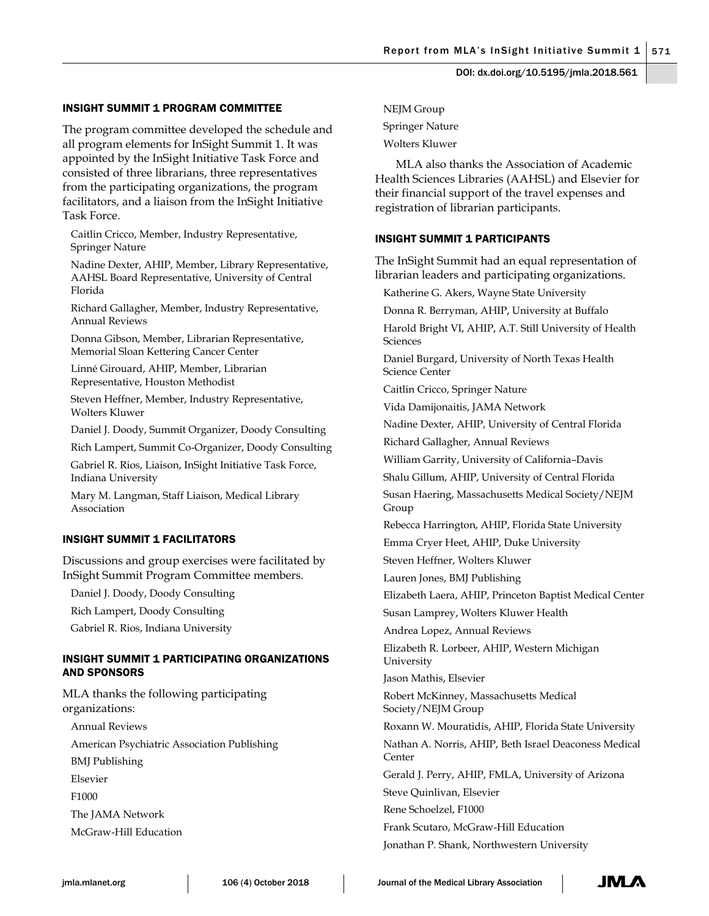## INSIGHT SUMMIT 1 PROGRAM COMMITTEE

The program committee developed the schedule and all program elements for InSight Summit 1. It was appointed by the InSight Initiative Task Force and consisted of three librarians, three representatives from the participating organizations, the program facilitators, and a liaison from the InSight Initiative Task Force.

Caitlin Cricco, Member, Industry Representative, Springer Nature

Nadine Dexter, AHIP, Member, Library Representative, AAHSL Board Representative, University of Central Florida

Richard Gallagher, Member, Industry Representative, Annual Reviews

Donna Gibson, Member, Librarian Representative, Memorial Sloan Kettering Cancer Center

Linné Girouard, AHIP, Member, Librarian Representative, Houston Methodist

Steven Heffner, Member, Industry Representative, Wolters Kluwer

Daniel J. Doody, Summit Organizer, Doody Consulting

Rich Lampert, Summit Co-Organizer, Doody Consulting

Gabriel R. Rios, Liaison, InSight Initiative Task Force, Indiana University

Mary M. Langman, Staff Liaison, Medical Library Association

#### INSIGHT SUMMIT 1 FACILITATORS

Discussions and group exercises were facilitated by InSight Summit Program Committee members.

Daniel J. Doody, Doody Consulting

Rich Lampert, Doody Consulting

Gabriel R. Rios, Indiana University

## INSIGHT SUMMIT 1 PARTICIPATING ORGANIZATIONS AND SPONSORS

MLA thanks the following participating organizations:

Annual Reviews American Psychiatric Association Publishing BMJ Publishing Elsevier F1000 The JAMA Network McGraw-Hill Education

NEJM Group Springer Nature Wolters Kluwer

MLA also thanks the Association of Academic Health Sciences Libraries (AAHSL) and Elsevier for their financial support of the travel expenses and registration of librarian participants.

#### INSIGHT SUMMIT 1 PARTICIPANTS

The InSight Summit had an equal representation of librarian leaders and participating organizations.

Katherine G. Akers, Wayne State University

Donna R. Berryman, AHIP, University at Buffalo

Harold Bright VI, AHIP, A.T. Still University of Health Sciences

Daniel Burgard, University of North Texas Health Science Center

Caitlin Cricco, Springer Nature

Vida Damijonaitis, JAMA Network

Nadine Dexter, AHIP, University of Central Florida

Richard Gallagher, Annual Reviews

William Garrity, University of California–Davis

Shalu Gillum, AHIP, University of Central Florida

Susan Haering, Massachusetts Medical Society/NEJM Group

Rebecca Harrington, AHIP, Florida State University

Emma Cryer Heet, AHIP, Duke University

Steven Heffner, Wolters Kluwer

Lauren Jones, BMJ Publishing

Elizabeth Laera, AHIP, Princeton Baptist Medical Center

Susan Lamprey, Wolters Kluwer Health

Andrea Lopez, Annual Reviews

Elizabeth R. Lorbeer, AHIP, Western Michigan University

Jason Mathis, Elsevier

Robert McKinney, Massachusetts Medical Society/NEJM Group

Roxann W. Mouratidis, AHIP, Florida State University

Nathan A. Norris, AHIP, Beth Israel Deaconess Medical Center

Gerald J. Perry, AHIP, FMLA, University of Arizona

Steve Quinlivan, Elsevier

Rene Schoelzel, F1000

Frank Scutaro, McGraw-Hill Education Jonathan P. Shank, Northwestern University